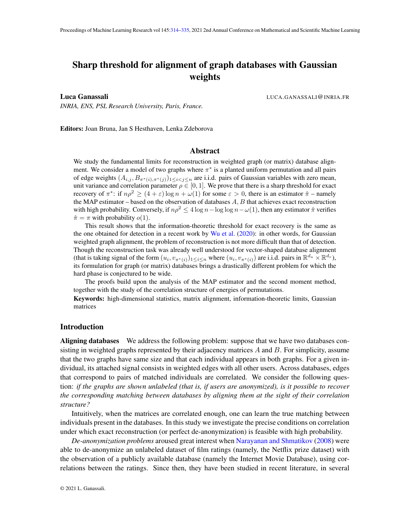# <span id="page-0-0"></span>Sharp threshold for alignment of graph databases with Gaussian weights

Luca Ganassali LUCA.GANASSALI@INRIA.FR

Editors: Joan Bruna, Jan S Hesthaven, Lenka Zdeborova

*INRIA, ENS, PSL Research University, Paris, France.*

# Abstract

We study the fundamental limits for reconstruction in weighted graph (or matrix) database alignment. We consider a model of two graphs where  $\pi^*$  is a planted uniform permutation and all pairs of edge weights  $(A_{i,j}, B_{\pi^*(i), \pi^*(j)})_{1 \leq i < j \leq n}$  are i.i.d. pairs of Gaussian variables with zero mean, unit variance and correlation parameter  $\rho \in [0, 1]$ . We prove that there is a sharp threshold for exact recovery of  $\pi^*$ : if  $n\rho^2 \ge (4 + \varepsilon) \log n + \omega(1)$  for some  $\varepsilon > 0$ , there is an estimator  $\hat{\pi}$  – namely the MAP estimator – based on the observation of databases  $A, B$  that achieves exact reconstruction with high probability. Conversely, if  $n\rho^2 \leq 4 \log n - \log \log n - \omega(1)$ , then any estimator  $\hat{\pi}$  verifies  $\hat{\pi} = \pi$  with probability  $o(1)$ .

This result shows that the information-theoretic threshold for exact recovery is the same as the one obtained for detection in a recent work by [Wu et al.](#page-17-0) [\(2020\)](#page-17-0): in other words, for Gaussian weighted graph alignment, the problem of reconstruction is not more difficult than that of detection. Though the reconstruction task was already well understood for vector-shaped database alignment (that is taking signal of the form  $(u_i, v_{\pi^*(i)})_{1 \leq i \leq n}$  where  $(u_i, v_{\pi^*(i)})$  are i.i.d. pairs in  $\mathbb{R}^{d_u} \times \mathbb{R}^{d_v}$ ), its formulation for graph (or matrix) databases brings a drastically different problem for which the hard phase is conjectured to be wide.

The proofs build upon the analysis of the MAP estimator and the second moment method, together with the study of the correlation structure of energies of permutations.

Keywords: high-dimensional statistics, matrix alignment, information-theoretic limits, Gaussian matrices

# Introduction

Aligning databases We address the following problem: suppose that we have two databases consisting in weighted graphs represented by their adjacency matrices  $A$  and  $B$ . For simplicity, assume that the two graphs have same size and that each individual appears in both graphs. For a given individual, its attached signal consists in weighted edges with all other users. Across databases, edges that correspond to pairs of matched individuals are correlated. We consider the following question: *if the graphs are shown unlabeled (that is, if users are anonymized), is it possible to recover the corresponding matching between databases by aligning them at the sight of their correlation structure?*

Intuitively, when the matrices are correlated enough, one can learn the true matching between individuals present in the databases. In this study we investigate the precise conditions on correlation under which exact reconstruction (or perfect de-anonymization) is feasible with high probability.

*De-anonymization problems* aroused great interest when [Narayanan and Shmatikov](#page-17-1) [\(2008\)](#page-17-1) were able to de-anonymize an unlabeled dataset of film ratings (namely, the Netflix prize dataset) with the observation of a publicly available database (namely the Internet Movie Database), using correlations between the ratings. Since then, they have been studied in recent literature, in several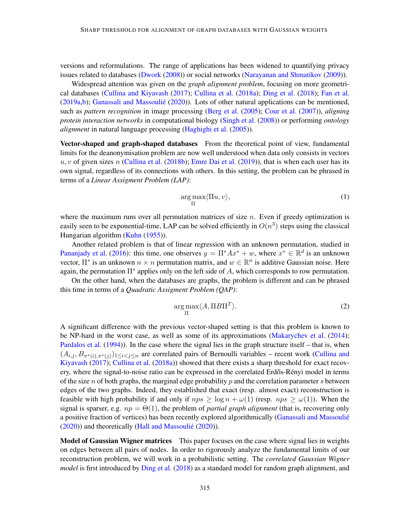versions and reformulations. The range of applications has been widened to quantifying privacy issues related to databases [\(Dwork](#page-16-0) [\(2008\)](#page-16-0)) or social networks [\(Narayanan and Shmatikov](#page-17-2) [\(2009\)](#page-17-2)).

Widespread attention was given on the *graph alignment problem*, focusing on more geometrical databases [\(Cullina and Kiyavash](#page-16-1) [\(2017\)](#page-16-1); [Cullina et al.](#page-16-2) [\(2018a\)](#page-16-2); [Ding et al.](#page-16-3) [\(2018\)](#page-16-3); [Fan et al.](#page-16-4) [\(2019a](#page-16-4)[,b\)](#page-16-5); [Ganassali and Massoulié](#page-16-6) [\(2020\)](#page-16-6)). Lots of other natural applications can be mentioned, such as *pattern recognition* in image processing [\(Berg et al.](#page-16-7) [\(2005\)](#page-16-7); [Cour et al.](#page-16-8) [\(2007\)](#page-16-8)), *aligning protein interaction networks* in computational biology [\(Singh et al.](#page-17-3) [\(2008\)](#page-17-3)) or performing *ontology alignment* in natural language processing [\(Haghighi et al.](#page-17-4) [\(2005\)](#page-17-4)).

Vector-shaped and graph-shaped databases From the theoretical point of view, fundamental limits for the deanonymisation problem are now well understood when data only consists in vectors  $u, v$  of given sizes n [\(Cullina et al.](#page-16-9) [\(2018b\)](#page-16-9); [Emre Dai et al.](#page-16-10) [\(2019\)](#page-16-10)), that is when each user has its own signal, regardless of its connections with others. In this setting, the problem can be phrased in terms of a *Linear Assigment Problem (LAP)*:

$$
\underset{\Pi}{\arg\max} \langle \Pi u, v \rangle,\tag{1}
$$

where the maximum runs over all permutation matrices of size  $n$ . Even if greedy optimization is easily seen to be exponential-time, LAP can be solved efficiently in  $O(n^3)$  steps using the classical Hungarian algorithm [\(Kuhn](#page-17-5) [\(1955\)](#page-17-5)).

Another related problem is that of linear regression with an unknown permutation, studied in [Pananjady et al.](#page-17-6) [\(2016\)](#page-17-6): this time, one observes  $y = \prod^* Ax^* + w$ , where  $x^* \in \mathbb{R}^d$  is an unknown vector,  $\Pi^*$  is an unknown  $n \times n$  permutation matrix, and  $w \in \mathbb{R}^n$  is additive Gaussian noise. Here again, the permutation  $\Pi^*$  applies only on the left side of A, which corresponds to row permutation.

On the other hand, when the databases are graphs, the problem is different and can be phrased this time in terms of a *Quadratic Assigment Problem (QAP)*:

<span id="page-1-0"></span>
$$
\underset{\Pi}{\arg \max} \langle A, \Pi B \Pi^T \rangle. \tag{2}
$$

A significant difference with the previous vector-shaped setting is that this problem is known to be NP-hard in the worst case, as well as some of its approximations [\(Makarychev et al.](#page-17-7) [\(2014\)](#page-17-7); [Pardalos et al.](#page-17-8) [\(1994\)](#page-17-8)). In the case where the signal lies in the graph structure itself – that is, when  $(A_{i,j}, B_{\pi^*(i), \pi^*(j)})_{1 \leq i < j \leq n}$  are correlated pairs of Bernoulli variables – recent work [\(Cullina and](#page-16-1) [Kiyavash](#page-16-1) [\(2017\)](#page-16-1); [Cullina et al.](#page-16-2) [\(2018a\)](#page-16-2)) showed that there exists a sharp threshold for exact recovery, where the signal-to-noise ratio can be expressed in the correlated Erdős-Rényi model in terms of the size n of both graphs, the marginal edge probability  $p$  and the correlation parameter s between edges of the two graphs. Indeed, they established that exact (resp. almost exact) reconstruction is feasible with high probability if and only if  $nps \ge \log n + \omega(1)$  (resp.  $nps \ge \omega(1)$ ). When the signal is sparser, e.g.  $np = \Theta(1)$ , the problem of *partial graph alignment* (that is, recovering only a positive fraction of vertices) has been recently explored algorithmically [\(Ganassali and Massoulié](#page-16-6) [\(2020\)](#page-16-6)) and theoretically [\(Hall and Massoulié](#page-17-9) [\(2020\)](#page-17-9)).

Model of Gaussian Wigner matrices This paper focuses on the case where signal lies in weights on edges between all pairs of nodes. In order to rigorously analyze the fundamental limits of our reconstruction problem, we will work in a probabilistic setting. The *correlated Gaussian Wigner model* is first introduced by [Ding et al.](#page-16-3) [\(2018\)](#page-16-3) as a standard model for random graph alignment, and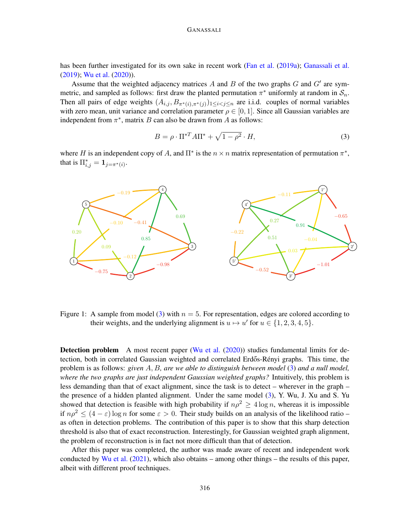#### GANASSALI

has been further investigated for its own sake in recent work [\(Fan et al.](#page-16-4) [\(2019a\)](#page-16-4); [Ganassali et al.](#page-16-11) [\(2019\)](#page-16-11); [Wu et al.](#page-17-0) [\(2020\)](#page-17-0)).

Assume that the weighted adjacency matrices  $A$  and  $B$  of the two graphs  $G$  and  $G'$  are symmetric, and sampled as follows: first draw the planted permutation  $\pi^*$  uniformly at random in  $\mathcal{S}_n$ . Then all pairs of edge weights  $(A_{i,j}, B_{\pi^*(i), \pi^*(j)})_{1 \leq i < j \leq n}$  are i.i.d. couples of normal variables with zero mean, unit variance and correlation parameter  $\rho \in [0, 1]$ . Since all Gaussian variables are independent from  $\pi^*$ , matrix B can also be drawn from A as follows:

<span id="page-2-0"></span>
$$
B = \rho \cdot \Pi^{*T} A \Pi^{*} + \sqrt{1 - \rho^{2}} \cdot H,
$$
\n(3)

where H is an independent copy of A, and  $\Pi^*$  is the  $n \times n$  matrix representation of permutation  $\pi^*$ , that is  $\Pi_{i,j}^* = \mathbf{1}_{j=\pi^*(i)}$ .



Figure 1: A sample from model [\(3\)](#page-2-0) with  $n = 5$ . For representation, edges are colored according to their weights, and the underlying alignment is  $u \mapsto u'$  for  $u \in \{1, 2, 3, 4, 5\}.$ 

Detection problem A most recent paper [\(Wu et al.](#page-17-0) [\(2020\)](#page-17-0)) studies fundamental limits for detection, both in correlated Gaussian weighted and correlated Erdős-Rényi graphs. This time, the problem is as follows: *given* A, B*, are we able to distinguish between model* [\(3\)](#page-2-0) *and a null model, where the two graphs are just independent Gaussian weighted graphs?* Intuitively, this problem is less demanding than that of exact alignment, since the task is to detect – wherever in the graph – the presence of a hidden planted alignment. Under the same model [\(3\)](#page-2-0), Y. Wu, J. Xu and S. Yu showed that detection is feasible with high probability if  $n\rho^2 \geq 4 \log n$ , whereas it is impossible if  $n\rho^2 \leq (4 - \varepsilon) \log n$  for some  $\varepsilon > 0$ . Their study builds on an analysis of the likelihood ratio – as often in detection problems. The contribution of this paper is to show that this sharp detection threshold is also that of exact reconstruction. Interestingly, for Gaussian weighted graph alignment, the problem of reconstruction is in fact not more difficult than that of detection.

After this paper was completed, the author was made aware of recent and independent work conducted by [Wu et al.](#page-17-10)  $(2021)$ , which also obtains – among other things – the results of this paper, albeit with different proof techniques.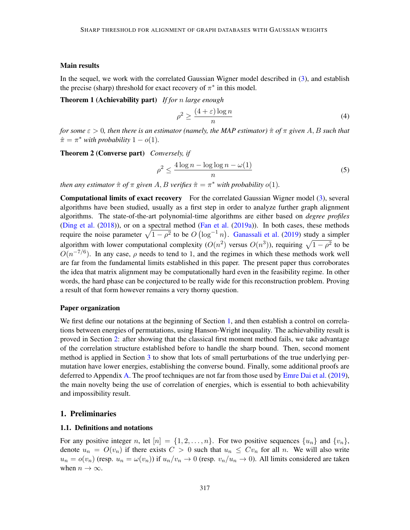## Main results

In the sequel, we work with the correlated Gaussian Wigner model described in [\(3\)](#page-2-0), and establish the precise (sharp) threshold for exact recovery of  $\pi^*$  in this model.

Theorem 1 (Achievability part) *If for* n *large enough*

<span id="page-3-2"></span><span id="page-3-1"></span>
$$
\rho^2 \ge \frac{(4+\varepsilon)\log n}{n} \tag{4}
$$

*for some*  $\varepsilon > 0$ , then there is an estimator (namely, the MAP estimator)  $\hat{\pi}$  *of*  $\pi$  given A, B such that  $\hat{\pi} = \pi^*$  *with probability*  $1 - o(1)$ *.* 

<span id="page-3-3"></span>Theorem 2 (Converse part) *Conversely, if*

<span id="page-3-4"></span>
$$
\rho^2 \le \frac{4\log n - \log\log n - \omega(1)}{n} \tag{5}
$$

*then any estimator*  $\hat{\pi}$  *of*  $\pi$  *given*  $A, B$  *verifies*  $\hat{\pi} = \pi^*$  *with probability o*(1).

Computational limits of exact recovery For the correlated Gaussian Wigner model [\(3\)](#page-2-0), several algorithms have been studied, usually as a first step in order to analyze further graph alignment algorithms. The state-of-the-art polynomial-time algorithms are either based on *degree profiles* [\(Ding et al.](#page-16-3) [\(2018\)](#page-16-3)), or on a spectral method [\(Fan et al.](#page-16-4) [\(2019a\)](#page-16-4)). In both cases, these methods require the noise parameter  $\sqrt{1-\rho^2}$  to be  $O(\log^{-1} n)$ . [Ganassali et al.](#page-16-11) [\(2019\)](#page-16-11) study a simpler algorithm with lower computational complexity  $(O(n^2)$  versus  $O(n^3)$ ), requiring  $\sqrt{1-\rho^2}$  to be  $O(n^{-7/6})$ . In any case,  $\rho$  needs to tend to 1, and the regimes in which these methods work well are far from the fundamental limits established in this paper. The present paper thus corroborates the idea that matrix alignment may be computationally hard even in the feasibility regime. In other words, the hard phase can be conjectured to be really wide for this reconstruction problem. Proving a result of that form however remains a very thorny question.

#### Paper organization

We first define our notations at the beginning of Section [1,](#page-3-0) and then establish a control on correlations between energies of permutations, using Hanson-Wright inequality. The achievability result is proved in Section [2:](#page-8-0) after showing that the classical first moment method fails, we take advantage of the correlation structure established before to handle the sharp bound. Then, second moment method is applied in Section [3](#page-12-0) to show that lots of small perturbations of the true underlying permutation have lower energies, establishing the converse bound. Finally, some additional proofs are deferred to Appendix [A.](#page-18-0) The proof techniques are not far from those used by [Emre Dai et al.](#page-16-10) [\(2019\)](#page-16-10), the main novelty being the use of correlation of energies, which is essential to both achievability and impossibility result.

#### <span id="page-3-0"></span>1. Preliminaries

## 1.1. Definitions and notations

For any positive integer n, let  $[n] = \{1, 2, ..., n\}$ . For two positive sequences  $\{u_n\}$  and  $\{v_n\}$ , denote  $u_n = O(v_n)$  if there exists  $C > 0$  such that  $u_n \leq Cv_n$  for all n. We will also write  $u_n = o(v_n)$  (resp.  $u_n = \omega(v_n)$ ) if  $u_n/v_n \to 0$  (resp.  $v_n/u_n \to 0$ ). All limits considered are taken when  $n \to \infty$ .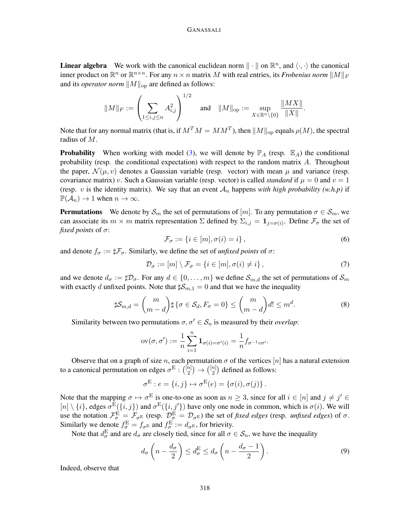**Linear algebra** We work with the canonical euclidean norm  $\| \cdot \|$  on  $\mathbb{R}^n$ , and  $\langle \cdot, \cdot \rangle$  the canonical inner product on  $\mathbb{R}^n$  or  $\mathbb{R}^{n \times n}$ . For any  $n \times n$  matrix M with real entries, its *Frobenius norm*  $||M||_F$ and its *operator norm*  $||M||_{op}$  are defined as follows:

$$
\|M\|_F := \left(\sum_{1 \le i,j \le n} A_{i,j}^2\right)^{1/2} \quad \text{and} \quad \|M\|_{\text{op}} := \sup_{X \in \mathbb{R}^n \setminus \{0\}} \frac{\|MX\|}{\|X\|}.
$$

Note that for any normal matrix (that is, if  $M^T M = MM^T$ ), then  $\|M\|_{\rm op}$  equals  $\rho(M)$ , the spectral radius of M.

**Probability** When working with model [\(3\)](#page-2-0), we will denote by  $\mathbb{P}_A$  (resp.  $\mathbb{E}_A$ ) the conditional probability (resp. the conditional expectation) with respect to the random matrix  $A$ . Throughout the paper,  $\mathcal{N}(\mu, v)$  denotes a Gaussian variable (resp. vector) with mean  $\mu$  and variance (resp. covariance matrix) v. Such a Gaussian variable (resp. vector) is called *standard* if  $\mu = 0$  and  $v = 1$ (resp. v is the identity matrix). We say that an event  $A_n$  happens with high probability (w.h.p) if  $\mathbb{P}(\mathcal{A}_n) \to 1$  when  $n \to \infty$ .

**Permutations** We denote by  $\mathcal{S}_m$  the set of permutations of  $[m]$ . To any permutation  $\sigma \in \mathcal{S}_m$ , we can associate its  $m \times m$  matrix representation  $\Sigma$  defined by  $\Sigma_{i,j} = 1_{j=\sigma(i)}$ . Define  $\mathcal{F}_{\sigma}$  the set of *fixed points* of σ:

$$
\mathcal{F}_{\sigma} := \{ i \in [m], \sigma(i) = i \},\tag{6}
$$

and denote  $f_{\sigma} := \sharp \mathcal{F}_{\sigma}$ . Similarly, we define the set of *unfixed points* of  $\sigma$ :

$$
\mathcal{D}_{\sigma} := [m] \setminus \mathcal{F}_{\sigma} = \{ i \in [m], \sigma(i) \neq i \}, \tag{7}
$$

and we denote  $d_{\sigma} := \sharp \mathcal{D}_{\sigma}$ . For any  $d \in \{0, \ldots, m\}$  we define  $\mathcal{S}_{m,d}$  the set of permutations of  $\mathcal{S}_m$ with exactly d unfixed points. Note that  $\sharp S_{m,1} = 0$  and that we have the inequality

<span id="page-4-1"></span>
$$
\sharp \mathcal{S}_{m,d} = \binom{m}{m-d} \sharp \{ \sigma \in \mathcal{S}_d, F_{\sigma} = 0 \} \le \binom{m}{m-d} d! \le m^d. \tag{8}
$$

Similarity between two permutations  $\sigma, \sigma' \in S_n$  is measured by their *overlap*:

$$
ov(\sigma, \sigma') := \frac{1}{n} \sum_{i=1}^{n} \mathbf{1}_{\sigma(i) = \sigma'(i)} = \frac{1}{n} f_{\sigma^{-1} \circ \sigma'}.
$$

Observe that on a graph of size n, each permutation  $\sigma$  of the vertices  $[n]$  has a natural extension to a canonical permutation on edges  $\sigma^{\text{E}}$  :  $\binom{[n]}{2}$  $\binom{n}{2} \rightarrow \binom{[n]}{2}$  $\binom{n}{2}$  defined as follows:

$$
\sigma^{\mathcal{E}} : e = \{i, j\} \mapsto \sigma^{\mathcal{E}}(e) = \{\sigma(i), \sigma(j)\}.
$$

Note that the mapping  $\sigma \mapsto \sigma^E$  is one-to-one as soon as  $n \geq 3$ , since for all  $i \in [n]$  and  $j \neq j' \in$  $[n] \setminus \{i\}$ , edges  $\sigma^{\text{E}}(\{i, j\})$  and  $\sigma^{\text{E}}(\{i, j'\})$  have only one node in common, which is  $\sigma(i)$ . We will use the notation  $\mathcal{F}_{\sigma}^{\mathcal{E}} = \mathcal{F}_{\sigma^{\mathcal{E}}}$  (resp.  $\mathcal{D}_{\sigma}^{\mathcal{E}} = \mathcal{D}_{\sigma^{\mathcal{E}}}$ ) the set of *fixed edges* (resp. *unfixed edges*) of  $\sigma$ . Similarly we denote  $f_{\sigma}^{\text{E}} = f_{\sigma^{\text{E}}}$  and  $f_{\sigma}^{\text{E}} := d_{\sigma^{\text{E}}}$ , for brievity.

Note that  $d_{\sigma}^{E}$  and are  $d_{\sigma}$  are closely tied, since for all  $\sigma \in S_n$ , we have the inequality

<span id="page-4-0"></span>
$$
d_{\sigma}\left(n-\frac{d_{\sigma}}{2}\right) \leq d_{\sigma}^{E} \leq d_{\sigma}\left(n-\frac{d_{\sigma}-1}{2}\right). \tag{9}
$$

Indeed, observe that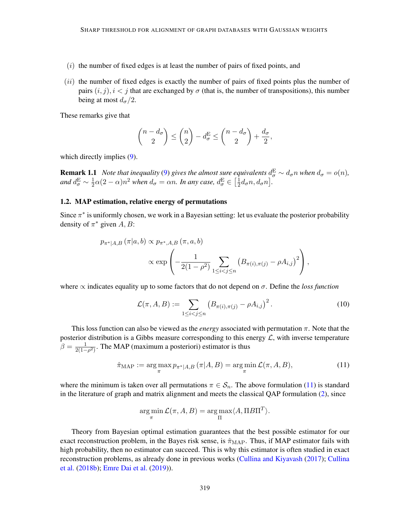- $(i)$  the number of fixed edges is at least the number of pairs of fixed points, and
- $(ii)$  the number of fixed edges is exactly the number of pairs of fixed points plus the number of pairs  $(i, j)$ ,  $i < j$  that are exchanged by  $\sigma$  (that is, the number of transpositions), this number being at most  $d_{\sigma}/2$ .

These remarks give that

<span id="page-5-2"></span>
$$
\binom{n-d_{\sigma}}{2} \leq \binom{n}{2} - d_{\sigma}^{E} \leq \binom{n-d_{\sigma}}{2} + \frac{d_{\sigma}}{2},
$$

which directly implies [\(9\)](#page-4-0).

**Remark 1.1** *Note that inequality* [\(9\)](#page-4-0) *gives the almost sure equivalents*  $d_{\sigma}^{E} \sim d_{\sigma} n$  *when*  $d_{\sigma} = o(n)$ *,* and  $d^{\rm E}_{\sigma} \sim \frac{1}{2}$  $\frac{1}{2}\alpha(2-\alpha)n^2$  when  $d_{\sigma} = \alpha n$ . In any case,  $d_{\sigma}^{\text{E}} \in \left[\frac{1}{2}\right]$  $\frac{1}{2}d_{\sigma}n, d_{\sigma}n$ .

## 1.2. MAP estimation, relative energy of permutations

Since  $\pi^*$  is uniformly chosen, we work in a Bayesian setting: let us evaluate the posterior probability density of  $\pi^*$  given  $A, B$ :

$$
p_{\pi^*|A,B}(\pi|a,b) \propto p_{\pi^*,A,B}(\pi,a,b)
$$
  
 
$$
\propto \exp\left(-\frac{1}{2(1-\rho^2)}\sum_{1\leq i < j \leq n} (B_{\pi(i),\pi(j)} - \rho A_{i,j})^2\right),
$$

where  $\propto$  indicates equality up to some factors that do not depend on  $\sigma$ . Define the *loss function* 

<span id="page-5-1"></span>
$$
\mathcal{L}(\pi, A, B) := \sum_{1 \le i < j \le n} \left( B_{\pi(i), \pi(j)} - \rho A_{i,j} \right)^2. \tag{10}
$$

This loss function can also be viewed as the *energy* associated with permutation  $\pi$ . Note that the posterior distribution is a Gibbs measure corresponding to this energy  $\mathcal{L}$ , with inverse temperature  $\beta = \frac{1}{2(1 - \frac{1}{2})}$  $\frac{1}{2(1-\rho^2)}$ . The MAP (maximum a posteriori) estimator is thus

<span id="page-5-0"></span>
$$
\hat{\pi}_{\text{MAP}} := \arg \max_{\pi} p_{\pi^*|A,B} \left( \pi | A, B \right) = \arg \min_{\pi} \mathcal{L}(\pi, A, B), \tag{11}
$$

where the minimum is taken over all permutations  $\pi \in S_n$ . The above formulation [\(11\)](#page-5-0) is standard in the literature of graph and matrix alignment and meets the classical QAP formulation [\(2\)](#page-1-0), since

$$
\argmin_{\pi} \mathcal{L}(\pi, A, B) = \argmax_{\Pi} \langle A, \Pi B \Pi^{T} \rangle.
$$

Theory from Bayesian optimal estimation guarantees that the best possible estimator for our exact reconstruction problem, in the Bayes risk sense, is  $\hat{\pi}_{MAP}$ . Thus, if MAP estimator fails with high probability, then no estimator can succeed. This is why this estimator is often studied in exact reconstruction problems, as already done in previous works [\(Cullina and Kiyavash](#page-16-1) [\(2017\)](#page-16-1); [Cullina](#page-16-9) [et al.](#page-16-9) [\(2018b\)](#page-16-9); [Emre Dai et al.](#page-16-10) [\(2019\)](#page-16-10)).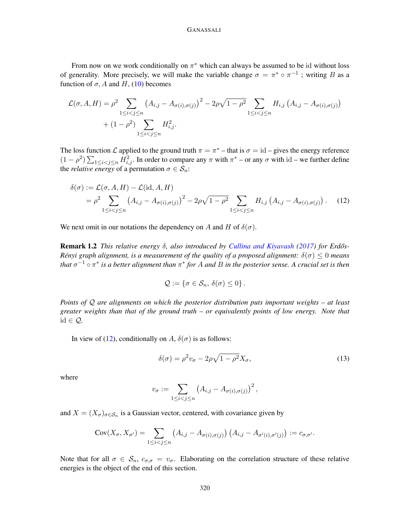From now on we work conditionally on  $\pi^*$  which can always be assumed to be id without loss of generality. More precisely, we will make the variable change  $\sigma = \pi^* \circ \pi^{-1}$ ; writing B as a function of  $\sigma$ , A and H, [\(10\)](#page-5-1) becomes

$$
\mathcal{L}(\sigma, A, H) = \rho^2 \sum_{1 \le i < j \le n} \left( A_{i,j} - A_{\sigma(i),\sigma(j)} \right)^2 - 2\rho \sqrt{1 - \rho^2} \sum_{1 \le i < j \le n} H_{i,j} \left( A_{i,j} - A_{\sigma(i),\sigma(j)} \right) + (1 - \rho^2) \sum_{1 \le i < j \le n} H_{i,j}^2.
$$

The loss function  $\mathcal L$  applied to the ground truth  $\pi = \pi^*$  – that is  $\sigma = id$  – gives the energy reference  $(1 - \rho^2) \sum_{1 \le i < j \le n} H_{i,j}^2$ . In order to compare any  $\pi$  with  $\pi^*$  – or any  $\sigma$  with id – we further define the *relative energy* of a permutation  $\sigma \in S_n$ :

$$
\delta(\sigma) := \mathcal{L}(\sigma, A, H) - \mathcal{L}(\text{id}, A, H)
$$
  
=  $\rho^2 \sum_{1 \le i < j \le n} (A_{i,j} - A_{\sigma(i), \sigma(j)})^2 - 2\rho\sqrt{1 - \rho^2} \sum_{1 \le i < j \le n} H_{i,j} (A_{i,j} - A_{\sigma(i), \sigma(j)})$ . (12)

We next omit in our notations the dependency on A and H of  $\delta(\sigma)$ .

Remark 1.2 *This relative energy* δ*, also introduced by [Cullina and Kiyavash](#page-16-1) [\(2017\)](#page-16-1) for Erd ˝os-Rényi graph alignment, is a measurement of the quality of a proposed alignment:*  $\delta(\sigma) \leq 0$  *means that*  $\sigma^{-1} \circ \pi^*$  *is a better alignment than*  $\pi^*$  *for A and B in the posterior sense. A crucial set is then* 

<span id="page-6-0"></span>
$$
\mathcal{Q} := \{ \sigma \in \mathcal{S}_n, \, \delta(\sigma) \leq 0 \} \, .
$$

*Points of* Q *are alignments on which the posterior distribution puts important weights – at least greater weights than that of the ground truth – or equivalently points of low energy. Note that* id ∈ Q*.*

In view of [\(12\)](#page-6-0), conditionally on A,  $\delta(\sigma)$  is as follows:

<span id="page-6-1"></span>
$$
\delta(\sigma) = \rho^2 v_\sigma - 2\rho \sqrt{1 - \rho^2} X_\sigma,\tag{13}
$$

where

$$
v_{\sigma} := \sum_{1 \leq i < j \leq n} \left( A_{i,j} - A_{\sigma(i),\sigma(j)} \right)^2,
$$

and  $X = (X_{\sigma})_{\sigma \in \mathcal{S}_n}$  is a Gaussian vector, centered, with covariance given by

$$
Cov(X_{\sigma}, X_{\sigma'}) = \sum_{1 \leq i < j \leq n} \left( A_{i,j} - A_{\sigma(i), \sigma(j)} \right) \left( A_{i,j} - A_{\sigma'(i), \sigma'(j)} \right) := c_{\sigma, \sigma'}.
$$

Note that for all  $\sigma \in S_n$ ,  $c_{\sigma,\sigma} = v_{\sigma}$ . Elaborating on the correlation structure of these relative energies is the object of the end of this section.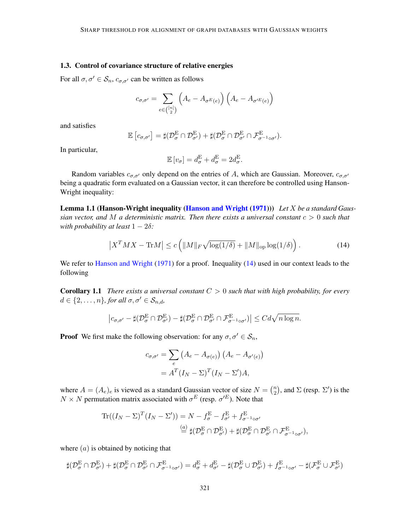### 1.3. Control of covariance structure of relative energies

For all  $\sigma, \sigma' \in S_n$ ,  $c_{\sigma,\sigma'}$  can be written as follows

$$
c_{\sigma,\sigma'} = \sum_{e \in \binom{[n]}{2}} \left( A_e - A_{\sigma^E(e)} \right) \left( A_e - A_{\sigma'^E(e)} \right)
$$

and satisfies

$$
\mathbb{E}\left[c_{\sigma,\sigma'}\right] = \sharp(\mathcal{D}_{\sigma}^{\mathcal{E}} \cap \mathcal{D}_{\sigma'}^{\mathcal{E}}) + \sharp(\mathcal{D}_{\sigma}^{\mathcal{E}} \cap \mathcal{D}_{\sigma'}^{\mathcal{E}} \cap \mathcal{F}_{\sigma^{-1} \circ \sigma'}^{\mathcal{E}}).
$$

In particular,

$$
\mathbb{E}\left[v_{\sigma}\right] = d_{\sigma}^{\mathcal{E}} + d_{\sigma}^{\mathcal{E}} = 2d_{\sigma}^{\mathcal{E}}.
$$

Random variables  $c_{\sigma,\sigma'}$  only depend on the entries of A, which are Gaussian. Moreover,  $c_{\sigma,\sigma'}$ being a quadratic form evaluated on a Gaussian vector, it can therefore be controlled using Hanson-Wright inequality:

Lemma 1.1 (Hanson-Wright inequality [\(Hanson and Wright](#page-17-11) [\(1971\)](#page-17-11))) *Let* X *be a standard Gaussian vector, and* M *a deterministic matrix. Then there exists a universal constant* c > 0 *such that with probability at least*  $1 - 2\delta$ *:* 

<span id="page-7-1"></span><span id="page-7-0"></span>
$$
\left|X^T M X - \text{Tr} M\right| \le c \left( \|M\|_F \sqrt{\log(1/\delta)} + \|M\|_{\text{op}} \log(1/\delta) \right). \tag{14}
$$

We refer to [Hanson and Wright](#page-17-11) [\(1971\)](#page-17-11) for a proof. Inequality [\(14\)](#page-7-0) used in our context leads to the following

<span id="page-7-2"></span>Corollary 1.1 *There exists a universal constant* C > 0 *such that with high probability, for every*  $d \in \{2, \ldots, n\}$ , for all  $\sigma, \sigma' \in S_{n,d}$ ,

$$
\left|c_{\sigma,\sigma'}-\sharp(\mathcal{D}_{\sigma}^{\mathrm{E}}\cap\mathcal{D}_{\sigma'}^{\mathrm{E}})-\sharp(\mathcal{D}_{\sigma}^{\mathrm{E}}\cap\mathcal{D}_{\sigma'}^{\mathrm{E}}\cap\mathcal{F}_{\sigma^{-1}\circ\sigma'}^{\mathrm{E}})\right|\leq Cd\sqrt{n\log n}.
$$

**Proof** We first make the following observation: for any  $\sigma, \sigma' \in \mathcal{S}_n$ ,

$$
c_{\sigma,\sigma'} = \sum_{e} \left( A_e - A_{\sigma(e)} \right) \left( A_e - A_{\sigma'(e)} \right)
$$

$$
= A^T (I_N - \Sigma)^T (I_N - \Sigma') A,
$$

where  $A = (A_e)_e$  is viewed as a standard Gaussian vector of size  $N = \binom{n}{2}$  $\binom{n}{2}$ , and  $\Sigma$  (resp.  $\Sigma'$ ) is the  $N \times N$  permutation matrix associated with  $\sigma^{E}$  (resp.  $\sigma^{E}$ ). Note that

$$
\begin{split} \text{Tr}((I_N - \Sigma)^T (I_N - \Sigma')) &= N - f_{\sigma}^{\mathcal{E}} - f_{\sigma'}^{\mathcal{E}} + f_{\sigma^{-1}\circ\sigma'}^{\mathcal{E}} \\ &\stackrel{(a)}{=} \sharp(\mathcal{D}_{\sigma}^{\mathcal{E}} \cap \mathcal{D}_{\sigma'}^{\mathcal{E}}) + \sharp(\mathcal{D}_{\sigma}^{\mathcal{E}} \cap \mathcal{D}_{\sigma'}^{\mathcal{E}} \cap \mathcal{F}_{\sigma^{-1}\circ\sigma'}^{\mathcal{E}}), \end{split}
$$

where  $(a)$  is obtained by noticing that

$$
\sharp(\mathcal{D}_{\sigma}^{\mathrm{E}}\cap\mathcal{D}_{\sigma'}^{\mathrm{E}})+\sharp(\mathcal{D}_{\sigma}^{\mathrm{E}}\cap\mathcal{D}_{\sigma'}^{\mathrm{E}}\cap\mathcal{F}_{\sigma^{-1}\circ\sigma'}^{\mathrm{E}})=d_{\sigma}^{\mathrm{E}}+d_{\sigma'}^{\mathrm{E}}-\sharp(\mathcal{D}_{\sigma}^{\mathrm{E}}\cup\mathcal{D}_{\sigma'}^{\mathrm{E}})+f_{\sigma^{-1}\circ\sigma'}^{\mathrm{E}}-\sharp(\mathcal{F}_{\sigma}^{\mathrm{E}}\cup\mathcal{F}_{\sigma'}^{\mathrm{E}})
$$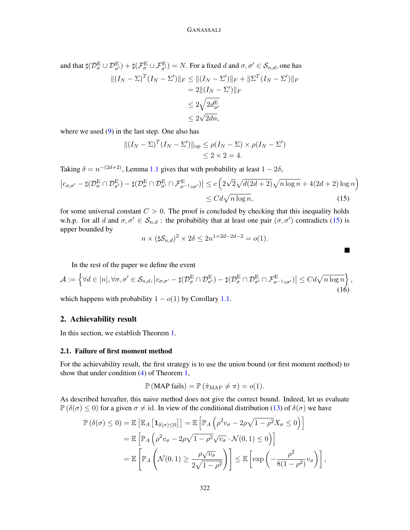and that  $\sharp (\mathcal{D}_{\sigma}^{\mathrm{E}} \cup \mathcal{D}_{\sigma'}^{\mathrm{E}})+\sharp (\mathcal{F}_{\sigma}^{\mathrm{E}} \cup \mathcal{F}_{\sigma'}^{\mathrm{E}})=N.$  For a fixed  $d$  and  $\sigma,\sigma'\in \mathcal{S}_{n,d},$  one has  $||(I_N - \Sigma)^T (I_N - \Sigma')||_F \le ||(I_N - \Sigma')||_F + ||\Sigma^T (I_N - \Sigma')||_F$  $= 2 \| (I_N - \Sigma') \|_F$  $\leq 2\sqrt{2d_{\sigma'}^{\rm E}}$  $\leq 2$  $^{\mathsf{v}}$  $2dn,$ 

where we used  $(9)$  in the last step. One also has

$$
||(I_N - \Sigma)^T (I_N - \Sigma')||_{op} \le \rho(I_N - \Sigma) \times \rho(I_N - \Sigma')
$$
  

$$
\le 2 \times 2 = 4.
$$

Taking  $\delta = n^{-(2d+2)}$ , Lemma [1.1](#page-7-1) gives that with probability at least  $1 - 2\delta$ ,

$$
\left| c_{\sigma,\sigma'} - \sharp (\mathcal{D}_{\sigma}^{\mathcal{E}} \cap \mathcal{D}_{\sigma'}^{\mathcal{E}}) - \sharp (\mathcal{D}_{\sigma}^{\mathcal{E}} \cap \mathcal{D}_{\sigma'}^{\mathcal{E}} \cap \mathcal{F}_{\sigma^{-1} \circ \sigma'}^{\mathcal{E}}) \right| \leq c \left( 2\sqrt{2} \sqrt{d(2d+2)} \sqrt{n \log n} + 4(2d+2) \log n \right) \leq C d \sqrt{n \log n}, \tag{15}
$$

for some universal constant  $C > 0$ . The proof is concluded by checking that this inequality holds w.h.p. for all d and  $\sigma, \sigma' \in S_{n,d}$ : the probability that at least one pair  $(\sigma, \sigma')$  contradicts [\(15\)](#page-8-1) is upper bounded by

$$
n \times (\sharp \mathcal{S}_{n,d})^2 \times 2\delta \le 2n^{1+2d-2d-2} = o(1).
$$

<span id="page-8-1"></span> $\blacksquare$ 

In the rest of the paper we define the event

<span id="page-8-2"></span>
$$
\mathcal{A} := \left\{ \forall d \in [n], \forall \sigma, \sigma' \in \mathcal{S}_{n,d}, \left| c_{\sigma,\sigma'} - \sharp (\mathcal{D}_{\sigma}^{\mathcal{E}} \cap \mathcal{D}_{\sigma'}^{\mathcal{E}}) - \sharp (\mathcal{D}_{\sigma}^{\mathcal{E}} \cap \mathcal{D}_{\sigma'}^{\mathcal{E}} \cap \mathcal{F}_{\sigma^{-1} \circ \sigma'}^{\mathcal{E}}) \right| \leq C d \sqrt{n \log n} \right\},\tag{16}
$$

which happens with probability  $1 - o(1)$  by Corollary [1.1.](#page-7-2)

### <span id="page-8-0"></span>2. Achievability result

In this section, we establish Theorem [1.](#page-3-1)

#### <span id="page-8-3"></span>2.1. Failure of first moment method

For the achievability result, the first strategy is to use the union bound (or first moment method) to show that under condition [\(4\)](#page-3-2) of Theorem [1,](#page-3-1)

$$
\mathbb{P}(\text{MAP fails}) = \mathbb{P}(\hat{\pi}_{\text{MAP}} \neq \pi) = o(1).
$$

As described hereafter, this naive method does not give the correct bound. Indeed, let us evaluate  $\mathbb{P}(\delta(\sigma) \leq 0)$  for a given  $\sigma \neq id$ . In view of the conditional distribution [\(13\)](#page-6-1) of  $\delta(\sigma)$  we have

$$
\mathbb{P}(\delta(\sigma) \le 0) = \mathbb{E}\left[\mathbb{E}_A\left[\mathbf{1}_{\delta(\sigma)\le 0}\right]\right] = \mathbb{E}\left[\mathbb{P}_A\left(\rho^2 v_\sigma - 2\rho\sqrt{1-\rho^2}X_\sigma \le 0\right)\right]
$$
  
\n
$$
= \mathbb{E}\left[\mathbb{P}_A\left(\rho^2 v_\sigma - 2\rho\sqrt{1-\rho^2}\sqrt{v_\sigma}\cdot\mathcal{N}(0,1) \le 0\right)\right]
$$
  
\n
$$
= \mathbb{E}\left[\mathbb{P}_A\left(\mathcal{N}(0,1) \ge \frac{\rho\sqrt{v_\sigma}}{2\sqrt{1-\rho^2}}\right)\right] \le \mathbb{E}\left[\exp\left(-\frac{\rho^2}{8(1-\rho^2)}v_\sigma\right)\right],
$$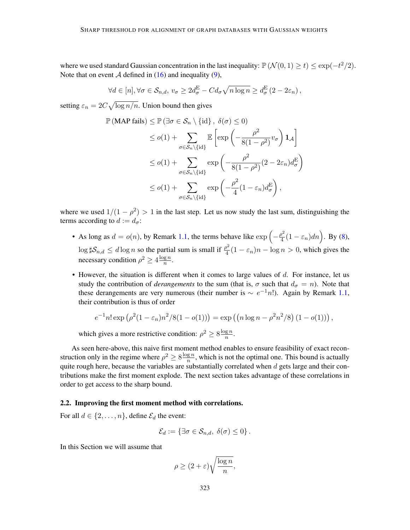where we used standard Gaussian concentration in the last inequality:  $\mathbb{P}(\mathcal{N}(0,1) \ge t) \le \exp(-t^2/2)$ . Note that on event A defined in  $(16)$  and inequality  $(9)$ ,

$$
\forall d \in [n], \forall \sigma \in \mathcal{S}_{n,d}, v_{\sigma} \geq 2d_{\sigma}^{\mathcal{E}} - Cd_{\sigma}\sqrt{n \log n} \geq d_{\sigma}^{\mathcal{E}}(2 - 2\varepsilon_n),
$$

setting  $\varepsilon_n = 2C \sqrt{\log n/n}$ . Union bound then gives

$$
\mathbb{P}(\text{MAP fails}) \leq \mathbb{P}(\exists \sigma \in \mathcal{S}_n \setminus \{\text{id}\}, \delta(\sigma) \leq 0)
$$
  
\n
$$
\leq o(1) + \sum_{\sigma \in \mathcal{S}_n \setminus \{\text{id}\}} \mathbb{E}\left[\exp\left(-\frac{\rho^2}{8(1-\rho^2)}v_{\sigma}\right) \mathbf{1}_{\mathcal{A}}\right]
$$
  
\n
$$
\leq o(1) + \sum_{\sigma \in \mathcal{S}_n \setminus \{\text{id}\}} \exp\left(-\frac{\rho^2}{8(1-\rho^2)}(2-2\varepsilon_n)d_{\sigma}^{\mathcal{E}}\right)
$$
  
\n
$$
\leq o(1) + \sum_{\sigma \in \mathcal{S}_n \setminus \{\text{id}\}} \exp\left(-\frac{\rho^2}{4}(1-\varepsilon_n)d_{\sigma}^{\mathcal{E}}\right),
$$

where we used  $1/(1 - \rho^2) > 1$  in the last step. Let us now study the last sum, distinguishing the terms according to  $d := d_{\sigma}$ :

- As long as  $d = o(n)$ , by Remark [1.1,](#page-5-2) the terms behave like  $\exp\left(-\frac{\rho^2}{4}\right)$  $\frac{p^2}{4}(1-\varepsilon_n)dn\Big)$ . By [\(8\)](#page-4-1),  $\log \sharp S_{n,d} \leq d \log n$  so the partial sum is small if  $\frac{\rho^2}{4}$  $\frac{\partial^2}{\partial 4}(1-\varepsilon_n)n - \log n > 0$ , which gives the necessary condition  $\rho^2 \geq 4 \frac{\log n}{n}$  $\frac{\mathbf{g}\,n}{n}$ .
- However, the situation is different when it comes to large values of  $d$ . For instance, let us study the contribution of *derangements* to the sum (that is,  $\sigma$  such that  $d_{\sigma} = n$ ). Note that these derangements are very numerous (their number is  $\sim e^{-1}n!$ ). Again by Remark [1.1,](#page-5-2) their contribution is thus of order

$$
e^{-1}n! \exp (\rho^2 (1 - \varepsilon_n)n^2/8(1 - o(1))) = \exp ((n \log n - \rho^2 n^2/8) (1 - o(1))) ,
$$

which gives a more restrictive condition:  $\rho^2 \geq 8 \frac{\log n}{n}$  $\frac{\lg n}{n}$ .

As seen here-above, this naive first moment method enables to ensure feasibility of exact reconstruction only in the regime where  $\rho^2 \geq 8 \frac{\log n}{n}$  $\frac{gn}{n}$ , which is not the optimal one. This bound is actually quite rough here, because the variables are substantially correlated when  $d$  gets large and their contributions make the first moment explode. The next section takes advantage of these correlations in order to get access to the sharp bound.

# 2.2. Improving the first moment method with correlations.

For all  $d \in \{2, \ldots, n\}$ , define  $\mathcal{E}_d$  the event:

$$
\mathcal{E}_d := \{ \exists \sigma \in \mathcal{S}_{n,d}, \ \delta(\sigma) \leq 0 \} \, .
$$

In this Section we will assume that

$$
\rho \ge (2+\varepsilon)\sqrt{\frac{\log n}{n}},
$$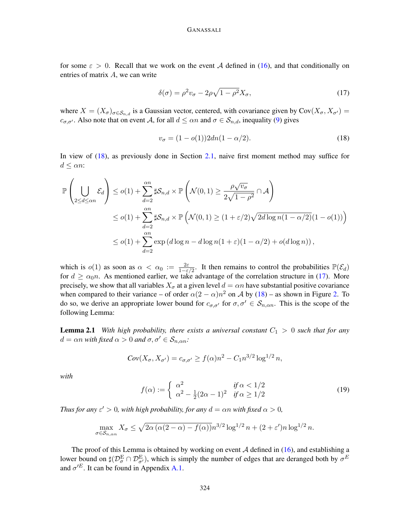#### GANASSALI

for some  $\varepsilon > 0$ . Recall that we work on the event A defined in [\(16\)](#page-8-2), and that conditionally on entries of matrix A, we can write

<span id="page-10-1"></span>
$$
\delta(\sigma) = \rho^2 v_\sigma - 2\rho \sqrt{1 - \rho^2} X_\sigma,\tag{17}
$$

where  $X = (X_{\sigma})_{\sigma \in S_{n,d}}$  is a Gaussian vector, centered, with covariance given by Cov $(X_{\sigma}, X_{\sigma})$  =  $c_{\sigma,\sigma'}$ . Also note that on event A, for all  $d \leq \alpha n$  and  $\sigma \in S_{n,d}$ , inequality [\(9\)](#page-4-0) gives

<span id="page-10-0"></span>
$$
v_{\sigma} = (1 - o(1))2dn(1 - \alpha/2). \tag{18}
$$

In view of [\(18\)](#page-10-0), as previously done in Section [2.1,](#page-8-3) naive first moment method may suffice for  $d \leq \alpha n$ :

$$
\mathbb{P}\left(\bigcup_{2\leq d\leq \alpha n} \mathcal{E}_d\right) \leq o(1) + \sum_{d=2}^{\alpha n} \sharp \mathcal{S}_{n,d} \times \mathbb{P}\left(\mathcal{N}(0,1) \geq \frac{\rho\sqrt{v_{\sigma}}}{2\sqrt{1-\rho^2}} \cap \mathcal{A}\right)
$$
  

$$
\leq o(1) + \sum_{d=2}^{\alpha n} \sharp \mathcal{S}_{n,d} \times \mathbb{P}\left(\mathcal{N}(0,1) \geq (1+\varepsilon/2)\sqrt{2d\log n(1-\alpha/2)}(1-o(1))\right)
$$
  

$$
\leq o(1) + \sum_{d=2}^{\alpha n} \exp\left(d\log n - d\log n(1+\varepsilon)(1-\alpha/2) + o(d\log n)\right),
$$

which is  $o(1)$  as soon as  $\alpha < \alpha_0 := \frac{2\varepsilon}{1-\varepsilon/2}$ . It then remains to control the probabilities  $\mathbb{P}(\mathcal{E}_d)$ for  $d \ge \alpha_0 n$ . As mentioned earlier, we take advantage of the correlation structure in [\(17\)](#page-10-1). More precisely, we show that all variables  $X_{\sigma}$  at a given level  $d = \alpha n$  have substantial positive covariance when compared to their variance – of order  $\alpha(2-\alpha)n^2$  on A by [\(18\)](#page-10-0) – as shown in Figure [2.](#page-11-0) To do so, we derive an appropriate lower bound for  $c_{\sigma,\sigma'}$  for  $\sigma,\sigma' \in S_{n,\alpha n}$ . This is the scope of the following Lemma:

**Lemma 2.1** *With high probability, there exists a universal constant*  $C_1 > 0$  *such that for any*  $d = \alpha n$  *with fixed*  $\alpha > 0$  *and*  $\sigma, \sigma' \in S_{n,\alpha n}$ .

<span id="page-10-3"></span>
$$
Cov(X_{\sigma}, X_{\sigma'}) = c_{\sigma, \sigma'} \ge f(\alpha)n^2 - C_1 n^{3/2} \log^{1/2} n,
$$

*with*

<span id="page-10-2"></span>
$$
f(\alpha) := \begin{cases} \alpha^2 & \text{if } \alpha < 1/2 \\ \alpha^2 - \frac{1}{2}(2\alpha - 1)^2 & \text{if } \alpha \ge 1/2 \end{cases} \tag{19}
$$

*Thus for any*  $\varepsilon' > 0$ , with high probability, for any  $d = \alpha n$  with fixed  $\alpha > 0$ ,

$$
\max_{\sigma \in S_{n,\alpha n}} X_{\sigma} \le \sqrt{2\alpha \left(\alpha(2-\alpha) - f(\alpha)\right)} n^{3/2} \log^{1/2} n + (2+\varepsilon')n \log^{1/2} n.
$$

The proof of this Lemma is obtained by working on event  $A$  defined in [\(16\)](#page-8-2), and establishing a lower bound on  $\sharp(\mathcal{D}_{\sigma}^{\mathcal{E}} \cap \mathcal{D}_{\sigma'}^{\mathcal{E}})$ , which is simply the number of edges that are deranged both by  $\sigma^E$ and  $\sigma^{E}$ . It can be found in Appendix [A.1.](#page-18-1)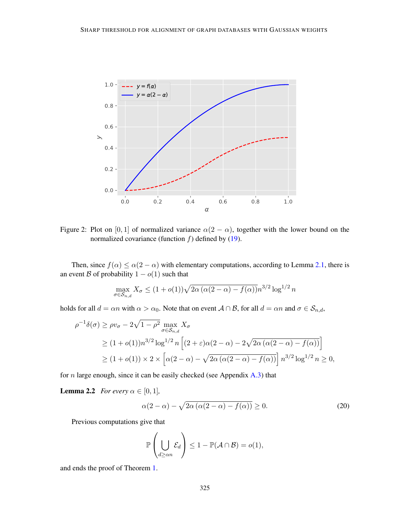

Figure 2: Plot on [0, 1] of normalized variance  $\alpha(2 - \alpha)$ , together with the lower bound on the normalized covariance (function  $f$ ) defined by [\(19\)](#page-10-2).

Then, since  $f(\alpha) \leq \alpha(2-\alpha)$  with elementary computations, according to Lemma [2.1,](#page-10-3) there is an event B of probability  $1 - o(1)$  such that

<span id="page-11-0"></span>
$$
\max_{\sigma \in S_{n,d}} X_{\sigma} \le (1 + o(1)) \sqrt{2\alpha (\alpha(2 - \alpha) - f(\alpha))} n^{3/2} \log^{1/2} n
$$

holds for all  $d = \alpha n$  with  $\alpha > \alpha_0$ . Note that on event  $A \cap B$ , for all  $d = \alpha n$  and  $\sigma \in S_{n,d}$ ,

$$
\rho^{-1}\delta(\sigma) \ge \rho v_{\sigma} - 2\sqrt{1-\rho^2} \max_{\sigma \in S_{n,d}} X_{\sigma}
$$
  
\n
$$
\ge (1+o(1))n^{3/2} \log^{1/2} n \left[ (2+\varepsilon)\alpha(2-\alpha) - 2\sqrt{2\alpha(\alpha(2-\alpha) - f(\alpha))} \right]
$$
  
\n
$$
\ge (1+o(1)) \times 2 \times \left[ \alpha(2-\alpha) - \sqrt{2\alpha(\alpha(2-\alpha) - f(\alpha))} \right] n^{3/2} \log^{1/2} n \ge 0,
$$

<span id="page-11-1"></span>for  $n$  large enough, since it can be easily checked (see Appendix  $A.3$ ) that

**Lemma 2.2** *For every*  $\alpha \in [0, 1]$ *,* 

<span id="page-11-2"></span>
$$
\alpha(2-\alpha) - \sqrt{2\alpha \left(\alpha(2-\alpha) - f(\alpha)\right)} \ge 0. \tag{20}
$$

Previous computations give that

$$
\mathbb{P}\left(\bigcup_{d\geq \alpha n} \mathcal{E}_d\right) \leq 1 - \mathbb{P}(\mathcal{A} \cap \mathcal{B}) = o(1),
$$

and ends the proof of Theorem [1.](#page-3-1)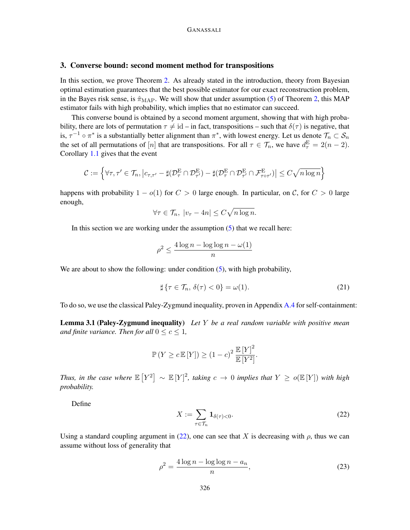# <span id="page-12-0"></span>3. Converse bound: second moment method for transpositions

In this section, we prove Theorem [2.](#page-3-3) As already stated in the introduction, theory from Bayesian optimal estimation guarantees that the best possible estimator for our exact reconstruction problem, in the Bayes risk sense, is  $\hat{\pi}_{MAP}$ . We will show that under assumption [\(5\)](#page-3-4) of Theorem [2,](#page-3-3) this MAP estimator fails with high probability, which implies that no estimator can succeed.

This converse bound is obtained by a second moment argument, showing that with high probability, there are lots of permutation  $\tau \neq id$  – in fact, transpositions – such that  $\delta(\tau)$  is negative, that is,  $\tau^{-1} \circ \pi^*$  is a substantially better alignment than  $\pi^*$ , with lowest energy. Let us denote  $\mathcal{T}_n \subset \mathcal{S}_n$ the set of all permutations of [n] that are transpositions. For all  $\tau \in \mathcal{T}_n$ , we have  $d_{\tau}^{\mathbb{E}} = 2(n-2)$ . Corollary [1.1](#page-7-2) gives that the event

$$
\mathcal{C} := \left\{ \forall \tau, \tau' \in \mathcal{T}_n, \left| c_{\tau, \tau'} - \sharp (\mathcal{D}_{\tau}^{\mathcal{E}} \cap \mathcal{D}_{\tau'}^{\mathcal{E}}) - \sharp (\mathcal{D}_{\tau}^{\mathcal{E}} \cap \mathcal{D}_{\tau'}^{\mathcal{E}} \cap \mathcal{F}_{\tau \circ \tau'}^{\mathcal{E}}) \right| \leq C \sqrt{n \log n} \right\}
$$

happens with probability  $1 - o(1)$  for  $C > 0$  large enough. In particular, on C, for  $C > 0$  large enough,

$$
\forall \tau \in \mathcal{T}_n, \ |v_\tau - 4n| \le C\sqrt{n\log n}.
$$

In this section we are working under the assumption  $(5)$  that we recall here:

$$
\rho^2 \le \frac{4\log n - \log\log n - \omega(1)}{n}
$$

We are about to show the following: under condition [\(5\)](#page-3-4), with high probability,

<span id="page-12-4"></span><span id="page-12-3"></span>
$$
\sharp \{\tau \in \mathcal{T}_n, \,\delta(\tau) < 0\} = \omega(1). \tag{21}
$$

To do so, we use the classical Paley-Zygmund inequality, proven in Appendix [A.4](#page-20-1) for self-containment:

Lemma 3.1 (Paley-Zygmund inequality) *Let* Y *be a real random variable with positive mean and finite variance. Then for all*  $0 \leq c \leq 1$ *,* 

$$
\mathbb{P}\left(Y \ge c \mathbb{E}\left[Y\right]\right) \ge (1-c)^2 \frac{\mathbb{E}\left[Y\right]^2}{\mathbb{E}\left[Y^2\right]}.
$$

*Thus, in the case where*  $\mathbb{E}[Y^2] \sim \mathbb{E}[Y]^2$ , taking  $c \to 0$  *implies that*  $Y \ge o(\mathbb{E}[Y])$  *with high probability.*

Define

<span id="page-12-1"></span>
$$
X := \sum_{\tau \in \mathcal{T}_n} \mathbf{1}_{\delta(\tau) < 0}.\tag{22}
$$

Using a standard coupling argument in [\(22\)](#page-12-1), one can see that X is decreasing with  $\rho$ , thus we can assume without loss of generality that

<span id="page-12-2"></span>
$$
\rho^2 = \frac{4\log n - \log\log n - a_n}{n},\tag{23}
$$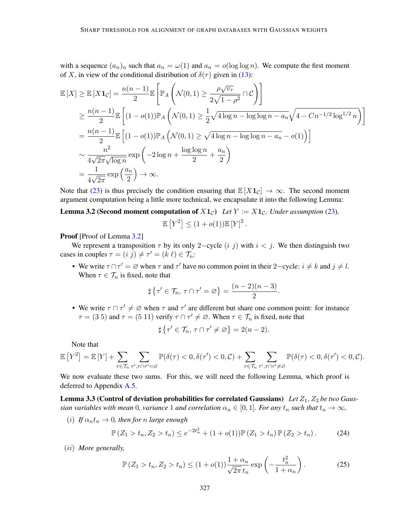with a sequence  $(a_n)_n$  such that  $a_n = \omega(1)$  and  $a_n = o(\log \log n)$ . We compute the first moment of X, in view of the conditional distribution of  $\delta(\tau)$  given in [\(13\)](#page-6-1):

$$
\mathbb{E}[X] \geq \mathbb{E}[X\mathbf{1}_{\mathcal{C}}] = \frac{n(n-1)}{2} \mathbb{E}\left[\mathbb{P}_{A}\left(\mathcal{N}(0,1) \geq \frac{\rho\sqrt{v_{\tau}}}{2\sqrt{1-\rho^{2}}}\cap \mathcal{C}\right)\right]
$$
  
\n
$$
\geq \frac{n(n-1)}{2} \mathbb{E}\left[(1-o(1))\mathbb{P}_{A}\left(\mathcal{N}(0,1) \geq \frac{1}{2}\sqrt{4\log n - \log\log n - a_{n}}\sqrt{4 - Cn^{-1/2}\log^{1/2} n}\right)\right]
$$
  
\n
$$
= \frac{n(n-1)}{2} \mathbb{E}\left[(1-o(1))\mathbb{P}_{A}\left(\mathcal{N}(0,1) \geq \sqrt{4\log n - \log\log n - a_{n}} - o(1)\right)\right]
$$
  
\n
$$
\sim \frac{n^{2}}{4\sqrt{2\pi}\sqrt{\log n}} \exp\left(-2\log n + \frac{\log\log n}{2} + \frac{a_{n}}{2}\right)
$$
  
\n
$$
= \frac{1}{4\sqrt{2\pi}} \exp\left(\frac{a_{n}}{2}\right) \to \infty.
$$

Note that [\(23\)](#page-12-2) is thus precisely the condition ensuring that  $\mathbb{E}[X \mathbf{1}_{\mathcal{C}}] \to \infty$ . The second moment argument computation being a little more technical, we encapsulate it into the following Lemma:

**Lemma 3.2 (Second moment computation of**  $X1_c$ ) *Let*  $Y := X1_c$ *. Under assumption* [\(23\)](#page-12-2)*,* 

<span id="page-13-0"></span>
$$
\mathbb{E}\left[Y^2\right] \le (1 + o(1))\mathbb{E}\left[Y\right]^2.
$$

**Proof** [Proof of Lemma [3.2\]](#page-13-0)

We represent a transposition  $\tau$  by its only 2–cycle  $(i, j)$  with  $i < j$ . We then distinguish two cases in couples  $\tau = (i \, j) \neq \tau' = (k \, \ell) \in \mathcal{T}_n$ :

• We write  $\tau \cap \tau' = \emptyset$  when  $\tau$  and  $\tau'$  have no common point in their 2–cycle:  $i \neq k$  and  $j \neq l$ . When  $\tau \in \mathcal{T}_n$  is fixed, note that

$$
\sharp \left\{ \tau' \in \mathcal{T}_n, \, \tau \cap \tau' = \varnothing \right\} = \frac{(n-2)(n-3)}{2}.
$$

• We write  $\tau \cap \tau' \neq \emptyset$  when  $\tau$  and  $\tau'$  are different but share one common point: for instance  $\tau = (3\ 5)$  and  $\tau = (5\ 11)$  verify  $\tau \cap \tau' \neq \emptyset$ . When  $\tau \in \mathcal{T}_n$  is fixed, note that

$$
\sharp \left\{ \tau' \in \mathcal{T}_n, \, \tau \cap \tau' \neq \varnothing \right\} = 2(n-2).
$$

Note that

$$
\mathbb{E}\left[Y^2\right] = \mathbb{E}\left[Y\right] + \sum_{\tau \in \mathcal{T}_n} \sum_{\tau',\tau \cap \tau' = \varnothing} \mathbb{P}(\delta(\tau) < 0, \delta(\tau') < 0, \mathcal{C}) + \sum_{\tau \in \mathcal{T}_n} \sum_{\tau',\tau \cap \tau' \neq \varnothing} \mathbb{P}(\delta(\tau) < 0, \delta(\tau') < 0, \mathcal{C}).
$$

We now evaluate these two sums. For this, we will need the following Lemma, which proof is deferred to Appendix [A.5.](#page-20-2)

<span id="page-13-1"></span>Lemma 3.3 (Control of deviation probabilities for correlated Gaussians) Let  $Z_1, Z_2$  be two Gaus*sian variables with mean* 0*, variance* 1 *and correlation*  $\alpha_n \in [0,1]$ *. For any*  $t_n$  *such that*  $t_n \to \infty$ *,* 

(*i*) *If*  $\alpha_n t_n \to 0$ , then for *n* large enough

$$
\mathbb{P}\left(Z_1 > t_n, Z_2 > t_n\right) \le e^{-2t_n^2} + (1 + o(1))\mathbb{P}\left(Z_1 > t_n\right)\mathbb{P}\left(Z_2 > t_n\right). \tag{24}
$$

(ii) *More generally,*

$$
\mathbb{P}\left(Z_1 > t_n, Z_2 > t_n\right) \le (1 + o(1)) \frac{1 + \alpha_n}{\sqrt{2\pi} t_n} \exp\left(-\frac{t_n^2}{1 + \alpha_n}\right). \tag{25}
$$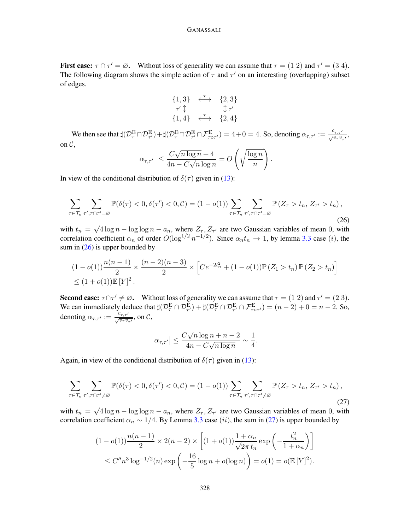#### GANASSALI

First case:  $\tau \cap \tau' = \emptyset$ . Without loss of generality we can assume that  $\tau = (1\ 2)$  and  $\tau' = (3\ 4)$ . The following diagram shows the simple action of  $\tau$  and  $\tau'$  on an interesting (overlapping) subset of edges.

$$
\begin{array}{ccc}\n\{1,3\} & \stackrel{\tau}{\longleftrightarrow} & \{2,3\} \\
\tau'\updownarrow & & \updownarrow \tau' \\
\{1,4\} & \stackrel{\tau}{\longleftrightarrow} & \{2,4\}\n\end{array}
$$

We then see that  $\sharp(\mathcal{D}_{\tau}^{\mathcal{E}} \cap \mathcal{D}_{\tau'}^{\mathcal{E}}) + \sharp(\mathcal{D}_{\tau}^{\mathcal{E}} \cap \mathcal{D}_{\tau'}^{\mathcal{E}} \cap \mathcal{F}_{\tau \circ \tau'}^{\mathcal{E}}) = 4 + 0 = 4$ . So, denoting  $\alpha_{\tau,\tau'} := \frac{c_{\tau,\tau'}}{\sqrt{\nu_{\tau} \nu_{\tau'}}},$ on  $\mathcal{C}$ , √

$$
\left|\alpha_{\tau,\tau'}\right| \leq \frac{C\sqrt{n\log n} + 4}{4n - C\sqrt{n\log n}} = O\left(\sqrt{\frac{\log n}{n}}\right).
$$

In view of the conditional distribution of  $\delta(\tau)$  given in [\(13\)](#page-6-1):

<span id="page-14-0"></span>
$$
\sum_{\tau \in \mathcal{T}_n} \sum_{\tau', \tau \cap \tau' = \varnothing} \mathbb{P}(\delta(\tau) < 0, \delta(\tau') < 0, \mathcal{C}) = (1 - o(1)) \sum_{\tau \in \mathcal{T}_n} \sum_{\tau', \tau \cap \tau' = \varnothing} \mathbb{P}\left(Z_{\tau} > t_n, Z_{\tau'} > t_n\right),\tag{26}
$$

with  $t_n =$ √  $\frac{4 \log n - \log \log n - a_n}{n}$ , where  $Z_{\tau}, Z_{\tau'}$  are two Gaussian variables of mean 0, with correlation coefficient  $\alpha_n$  of order  $O(\log^{1/2} n^{-1/2})$ . Since  $\alpha_n t_n \to 1$ , by lemma [3.3](#page-13-1) case (*i*), the sum in  $(26)$  is upper bounded by

$$
(1 - o(1))\frac{n(n-1)}{2} \times \frac{(n-2)(n-3)}{2} \times \left[ Ce^{-2t_n^2} + (1 - o(1)) \mathbb{P}(Z_1 > t_n) \mathbb{P}(Z_2 > t_n) \right]
$$
  
 
$$
\leq (1 + o(1)) \mathbb{E}[Y]^2.
$$

**Second case:**  $\tau \cap \tau' \neq \emptyset$ . Without loss of generality we can assume that  $\tau = (1\ 2)$  and  $\tau' = (2\ 3)$ . We can immediately deduce that  $\sharp(\mathcal{D}_{\tau}^{\mathcal{E}} \cap \mathcal{D}_{\tau'}^{\mathcal{E}}) + \sharp(\mathcal{D}_{\tau}^{\mathcal{E}} \cap \mathcal{D}_{\tau'}^{\mathcal{E}} \cap \mathcal{F}_{\tau \circ \tau'}^{\mathcal{E}}) = (n-2) + 0 = n-2$ . So, denoting  $\alpha_{\tau,\tau'} := \frac{c_{\tau,\tau'}}{\sqrt{v_{\tau}v_{\tau'}}}$ , on  $\mathcal{C}$ ,

$$
\left|\alpha_{\tau,\tau'}\right| \le \frac{C\sqrt{n\log n} + n - 2}{4n - C\sqrt{n\log n}} \sim \frac{1}{4}.
$$

Again, in view of the conditional distribution of  $\delta(\tau)$  given in [\(13\)](#page-6-1):

<span id="page-14-1"></span>
$$
\sum_{\tau \in \mathcal{T}_n} \sum_{\tau', \tau \cap \tau' \neq \varnothing} \mathbb{P}(\delta(\tau) < 0, \delta(\tau') < 0, \mathcal{C}) = (1 - o(1)) \sum_{\tau \in \mathcal{T}_n} \sum_{\tau', \tau \cap \tau' \neq \varnothing} \mathbb{P}\left(Z_{\tau} > t_n, Z_{\tau'} > t_n\right),\tag{27}
$$

with  $t_n =$ √  $\frac{4 \log n - \log \log n - a_n}{n}$ , where  $Z_{\tau}, Z_{\tau'}$  are two Gaussian variables of mean 0, with correlation coefficient  $\alpha_n \sim 1/4$ . By Lemma [3.3](#page-13-1) case (ii), the sum in [\(27\)](#page-14-1) is upper bounded by

$$
(1 - o(1)) \frac{n(n-1)}{2} \times 2(n-2) \times \left[ (1 + o(1)) \frac{1 + \alpha_n}{\sqrt{2\pi} t_n} \exp\left(-\frac{t_n^2}{1 + \alpha_n}\right) \right]
$$
  
 
$$
\leq C'' n^3 \log^{-1/2}(n) \exp\left(-\frac{16}{5} \log n + o(\log n)\right) = o(1) = o(\mathbb{E}[Y]^2).
$$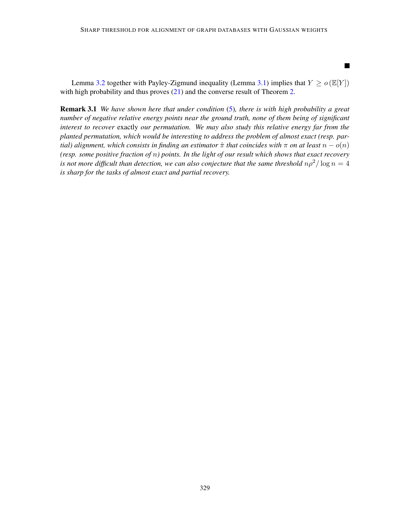$\blacksquare$ 

Lemma [3.2](#page-13-0) together with Payley-Zigmund inequality (Lemma [3.1\)](#page-12-3) implies that  $Y \ge o \left( \mathbb{E}[Y] \right)$ with high probability and thus proves  $(21)$  and the converse result of Theorem [2.](#page-3-3)

Remark 3.1 *We have shown here that under condition* [\(5\)](#page-3-4)*, there is with high probability a great number of negative relative energy points near the ground truth, none of them being of significant interest to recover* exactly *our permutation. We may also study this relative energy far from the planted permutation, which would be interesting to address the problem of almost exact (resp. partial) alignment, which consists in finding an estimator*  $\hat{\pi}$  *that coincides with*  $\pi$  *on at least*  $n - o(n)$ *(resp. some positive fraction of* n*) points. In the light of our result which shows that exact recovery is not more difficult than detection, we can also conjecture that the same threshold*  $n\rho^2/\log n = 4$ *is sharp for the tasks of almost exact and partial recovery.*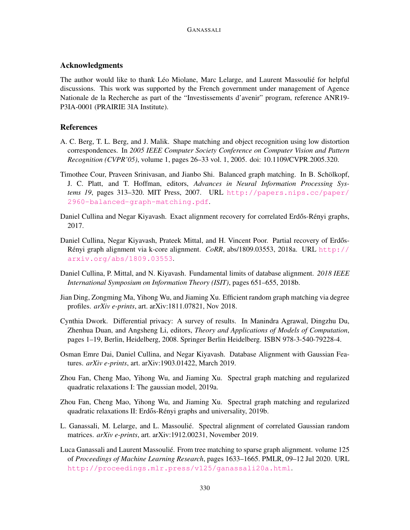# Acknowledgments

The author would like to thank Léo Miolane, Marc Lelarge, and Laurent Massoulié for helpful discussions. This work was supported by the French government under management of Agence Nationale de la Recherche as part of the "Investissements d'avenir" program, reference ANR19- P3IA-0001 (PRAIRIE 3IA Institute).

# References

- <span id="page-16-7"></span>A. C. Berg, T. L. Berg, and J. Malik. Shape matching and object recognition using low distortion correspondences. In *2005 IEEE Computer Society Conference on Computer Vision and Pattern Recognition (CVPR'05)*, volume 1, pages 26–33 vol. 1, 2005. doi: 10.1109/CVPR.2005.320.
- <span id="page-16-8"></span>Timothee Cour, Praveen Srinivasan, and Jianbo Shi. Balanced graph matching. In B. Schölkopf, J. C. Platt, and T. Hoffman, editors, *Advances in Neural Information Processing Systems 19*, pages 313–320. MIT Press, 2007. URL [http://papers.nips.cc/paper/](http://papers.nips.cc/paper/2960-balanced-graph-matching.pdf) [2960-balanced-graph-matching.pdf](http://papers.nips.cc/paper/2960-balanced-graph-matching.pdf).
- <span id="page-16-1"></span>Daniel Cullina and Negar Kiyavash. Exact alignment recovery for correlated Erdős-Rényi graphs, 2017.
- <span id="page-16-2"></span>Daniel Cullina, Negar Kiyavash, Prateek Mittal, and H. Vincent Poor. Partial recovery of Erdős-Rényi graph alignment via k-core alignment. *CoRR*, abs/1809.03553, 2018a. URL [http://](http://arxiv.org/abs/1809.03553) [arxiv.org/abs/1809.03553](http://arxiv.org/abs/1809.03553).
- <span id="page-16-9"></span>Daniel Cullina, P. Mittal, and N. Kiyavash. Fundamental limits of database alignment. *2018 IEEE International Symposium on Information Theory (ISIT)*, pages 651–655, 2018b.
- <span id="page-16-3"></span>Jian Ding, Zongming Ma, Yihong Wu, and Jiaming Xu. Efficient random graph matching via degree profiles. *arXiv e-prints*, art. arXiv:1811.07821, Nov 2018.
- <span id="page-16-0"></span>Cynthia Dwork. Differential privacy: A survey of results. In Manindra Agrawal, Dingzhu Du, Zhenhua Duan, and Angsheng Li, editors, *Theory and Applications of Models of Computation*, pages 1–19, Berlin, Heidelberg, 2008. Springer Berlin Heidelberg. ISBN 978-3-540-79228-4.
- <span id="page-16-10"></span>Osman Emre Dai, Daniel Cullina, and Negar Kiyavash. Database Alignment with Gaussian Features. *arXiv e-prints*, art. arXiv:1903.01422, March 2019.
- <span id="page-16-4"></span>Zhou Fan, Cheng Mao, Yihong Wu, and Jiaming Xu. Spectral graph matching and regularized quadratic relaxations I: The gaussian model, 2019a.
- <span id="page-16-5"></span>Zhou Fan, Cheng Mao, Yihong Wu, and Jiaming Xu. Spectral graph matching and regularized quadratic relaxations II: Erdős-Rényi graphs and universality, 2019b.
- <span id="page-16-11"></span>L. Ganassali, M. Lelarge, and L. Massoulié. Spectral alignment of correlated Gaussian random matrices. *arXiv e-prints*, art. arXiv:1912.00231, November 2019.
- <span id="page-16-6"></span>Luca Ganassali and Laurent Massoulié. From tree matching to sparse graph alignment. volume 125 of *Proceedings of Machine Learning Research*, pages 1633–1665. PMLR, 09–12 Jul 2020. URL <http://proceedings.mlr.press/v125/ganassali20a.html>.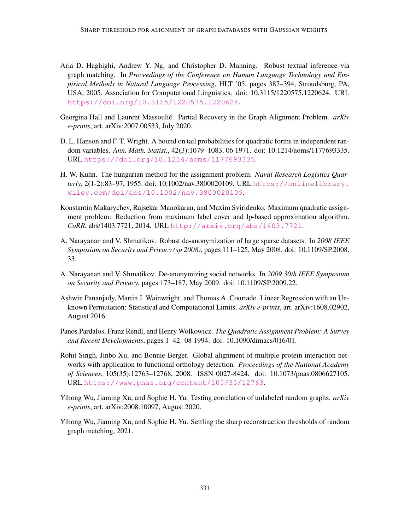- <span id="page-17-4"></span>Aria D. Haghighi, Andrew Y. Ng, and Christopher D. Manning. Robust textual inference via graph matching. In *Proceedings of the Conference on Human Language Technology and Empirical Methods in Natural Language Processing*, HLT '05, pages 387–394, Stroudsburg, PA, USA, 2005. Association for Computational Linguistics. doi: 10.3115/1220575.1220624. URL <https://doi.org/10.3115/1220575.1220624>.
- <span id="page-17-9"></span>Georgina Hall and Laurent Massoulié. Partial Recovery in the Graph Alignment Problem. *arXiv e-prints*, art. arXiv:2007.00533, July 2020.
- <span id="page-17-11"></span>D. L. Hanson and F. T. Wright. A bound on tail probabilities for quadratic forms in independent random variables. *Ann. Math. Statist.*, 42(3):1079–1083, 06 1971. doi: 10.1214/aoms/1177693335. URL <https://doi.org/10.1214/aoms/1177693335>.
- <span id="page-17-5"></span>H. W. Kuhn. The hungarian method for the assignment problem. *Naval Research Logistics Quarterly*, 2(1-2):83–97, 1955. doi: 10.1002/nav.3800020109. URL [https://onlinelibrary.](https://onlinelibrary.wiley.com/doi/abs/10.1002/nav.3800020109) [wiley.com/doi/abs/10.1002/nav.3800020109](https://onlinelibrary.wiley.com/doi/abs/10.1002/nav.3800020109).
- <span id="page-17-7"></span>Konstantin Makarychev, Rajsekar Manokaran, and Maxim Sviridenko. Maximum quadratic assignment problem: Reduction from maximum label cover and lp-based approximation algorithm. *CoRR*, abs/1403.7721, 2014. URL <http://arxiv.org/abs/1403.7721>.
- <span id="page-17-1"></span>A. Narayanan and V. Shmatikov. Robust de-anonymization of large sparse datasets. In *2008 IEEE Symposium on Security and Privacy (sp 2008)*, pages 111–125, May 2008. doi: 10.1109/SP.2008. 33.
- <span id="page-17-2"></span>A. Narayanan and V. Shmatikov. De-anonymizing social networks. In *2009 30th IEEE Symposium on Security and Privacy*, pages 173–187, May 2009. doi: 10.1109/SP.2009.22.
- <span id="page-17-6"></span>Ashwin Pananjady, Martin J. Wainwright, and Thomas A. Courtade. Linear Regression with an Unknown Permutation: Statistical and Computational Limits. *arXiv e-prints*, art. arXiv:1608.02902, August 2016.
- <span id="page-17-8"></span>Panos Pardalos, Franz Rendl, and Henry Wolkowicz. *The Quadratic Assignment Problem: A Survey and Recent Developments*, pages 1–42. 08 1994. doi: 10.1090/dimacs/016/01.
- <span id="page-17-3"></span>Rohit Singh, Jinbo Xu, and Bonnie Berger. Global alignment of multiple protein interaction networks with application to functional orthology detection. *Proceedings of the National Academy of Sciences*, 105(35):12763–12768, 2008. ISSN 0027-8424. doi: 10.1073/pnas.0806627105. URL <https://www.pnas.org/content/105/35/12763>.
- <span id="page-17-0"></span>Yihong Wu, Jiaming Xu, and Sophie H. Yu. Testing correlation of unlabeled random graphs. *arXiv e-prints*, art. arXiv:2008.10097, August 2020.
- <span id="page-17-10"></span>Yihong Wu, Jiaming Xu, and Sophie H. Yu. Settling the sharp reconstruction thresholds of random graph matching, 2021.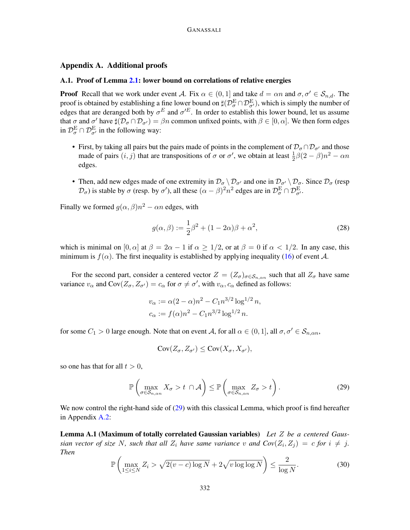#### <span id="page-18-0"></span>Appendix A. Additional proofs

## <span id="page-18-1"></span>A.1. Proof of Lemma [2.1:](#page-10-3) lower bound on correlations of relative energies

**Proof** Recall that we work under event A. Fix  $\alpha \in (0, 1]$  and take  $d = \alpha n$  and  $\sigma, \sigma' \in S_{n,d}$ . The proof is obtained by establishing a fine lower bound on  $\sharp(\mathcal{D}_{\sigma}^{\mathrm{E}} \cap \mathcal{D}_{\sigma'}^{\mathrm{E}})$ , which is simply the number of edges that are deranged both by  $\sigma^E$  and  $\sigma'^E$ . In order to establish this lower bound, let us assume that  $\sigma$  and  $\sigma'$  have  $\sharp(\mathcal{D}_{\sigma} \cap \mathcal{D}_{\sigma'}) = \beta n$  common unfixed points, with  $\beta \in [0, \alpha]$ . We then form edges in  $\mathcal{D}_{\sigma}^{\text{E}} \cap \mathcal{D}_{\sigma'}^{\text{E}}$  in the following way:

- First, by taking all pairs but the pairs made of points in the complement of  $\mathcal{D}_{\sigma} \cap \mathcal{D}_{\sigma'}$  and those made of pairs  $(i, j)$  that are transpositions of  $\sigma$  or  $\sigma'$ , we obtain at least  $\frac{1}{2}\beta(2-\beta)n^2 - \alpha n$ edges.
- Then, add new edges made of one extremity in  $\mathcal{D}_{\sigma} \setminus \mathcal{D}_{\sigma'}$  and one in  $\mathcal{D}_{\sigma'} \setminus \mathcal{D}_{\sigma}$ . Since  $\mathcal{D}_{\sigma}$  (resp  $(\mathcal{D}_{\sigma})$  is stable by  $\sigma$  (resp. by  $\sigma'$ ), all these  $(\alpha - \beta)^2 n^2$  edges are in  $\mathcal{D}_{\sigma}^{\text{E}} \cap \mathcal{D}_{\sigma'}^{\text{E}}$ .

Finally we formed  $g(\alpha, \beta)n^2 - \alpha n$  edges, with

$$
g(\alpha, \beta) := \frac{1}{2}\beta^2 + (1 - 2\alpha)\beta + \alpha^2,\tag{28}
$$

which is minimal on  $[0, \alpha]$  at  $\beta = 2\alpha - 1$  if  $\alpha \ge 1/2$ , or at  $\beta = 0$  if  $\alpha < 1/2$ . In any case, this minimum is  $f(\alpha)$ . The first inequality is established by applying inequality [\(16\)](#page-8-2) of event A.

For the second part, consider a centered vector  $Z = (Z_{\sigma})_{\sigma \in S_{n,\alpha n}}$  such that all  $Z_{\sigma}$  have same variance  $v_{\alpha}$  and  $Cov(Z_{\sigma}, Z_{\sigma'}) = c_{\alpha}$  for  $\sigma \neq \sigma'$ , with  $v_{\alpha}, c_{\alpha}$  defined as follows:

$$
v_{\alpha} := \alpha (2 - \alpha) n^2 - C_1 n^{3/2} \log^{1/2} n,
$$
  

$$
c_{\alpha} := f(\alpha) n^2 - C_1 n^{3/2} \log^{1/2} n.
$$

for some  $C_1 > 0$  large enough. Note that on event A, for all  $\alpha \in (0, 1]$ , all  $\sigma, \sigma' \in S_{n, \alpha n}$ ,

$$
Cov(Z_{\sigma}, Z_{\sigma'}) \leq Cov(X_{\sigma}, X_{\sigma'}),
$$

so one has that for all  $t > 0$ ,

<span id="page-18-3"></span><span id="page-18-2"></span>
$$
\mathbb{P}\left(\max_{\sigma\in\mathcal{S}_{n,\alpha n}} X_{\sigma} > t \cap \mathcal{A}\right) \leq \mathbb{P}\left(\max_{\sigma\in\mathcal{S}_{n,\alpha n}} Z_{\sigma} > t\right).
$$
 (29)

We now control the right-hand side of  $(29)$  with this classical Lemma, which proof is find hereafter in Appendix [A.2:](#page-19-0)

Lemma A.1 (Maximum of totally correlated Gaussian variables) *Let* Z *be a centered Gaussian vector of size* N, such that all  $Z_i$  have same variance v and  $Cov(Z_i, Z_j) = c$  for  $i \neq j$ . *Then*

$$
\mathbb{P}\left(\max_{1\leq i\leq N} Z_i > \sqrt{2(v-c)\log N} + 2\sqrt{v\log\log N}\right) \leq \frac{2}{\log N}.\tag{30}
$$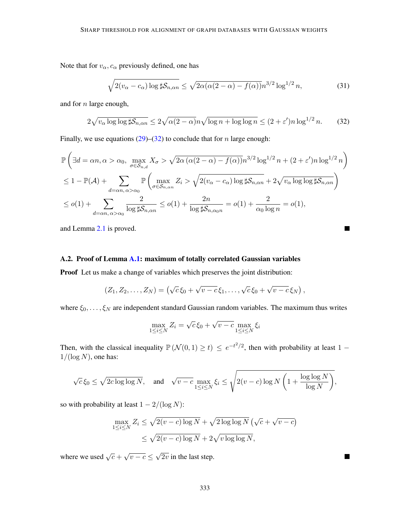Note that for  $v_{\alpha}$ ,  $c_{\alpha}$  previously defined, one has

$$
\sqrt{2(v_{\alpha} - c_{\alpha}) \log \sharp \mathcal{S}_{n,\alpha n}} \le \sqrt{2\alpha (\alpha (2 - \alpha) - f(\alpha))} n^{3/2} \log^{1/2} n, \tag{31}
$$

and for n large enough,

<span id="page-19-1"></span>
$$
2\sqrt{v_{\alpha}\log\log\sharp\mathcal{S}_{n,\alpha n}} \le 2\sqrt{\alpha(2-\alpha)}n\sqrt{\log n + \log\log n} \le (2+\varepsilon')n\log^{1/2} n. \tag{32}
$$

Finally, we use equations  $(29)$ – $(32)$  to conclude that for *n* large enough:

$$
\mathbb{P}\left(\exists d = \alpha n, \alpha > \alpha_0, \max_{\sigma \in S_{n,d}} X_{\sigma} > \sqrt{2\alpha \left(\alpha(2-\alpha) - f(\alpha)\right)}n^{3/2}\log^{1/2}n + (2+\varepsilon')n\log^{1/2}n\right)
$$
  
\n
$$
\leq 1 - \mathbb{P}(\mathcal{A}) + \sum_{d = \alpha n, \alpha > \alpha_0} \mathbb{P}\left(\max_{\sigma \in S_{n,\alpha n}} Z_i > \sqrt{2(v_{\alpha} - c_{\alpha})\log \sharp S_{n,\alpha n}} + 2\sqrt{v_{\alpha}\log \log \sharp S_{n,\alpha n}}\right)
$$
  
\n
$$
\leq o(1) + \sum_{d = \alpha n, \alpha > \alpha_0} \frac{2}{\log \sharp S_{n,\alpha n}} \leq o(1) + \frac{2n}{\log \sharp S_{n,\alpha_0 n}} = o(1) + \frac{2}{\alpha_0 \log n} = o(1),
$$

and Lemma [2.1](#page-10-3) is proved.

# <span id="page-19-0"></span>A.2. Proof of Lemma [A.1:](#page-18-3) maximum of totally correlated Gaussian variables

Proof Let us make a change of variables which preserves the joint distribution:

$$
(Z_1, Z_2, \ldots, Z_N) = (\sqrt{c}\,\xi_0 + \sqrt{v - c}\,\xi_1, \ldots, \sqrt{c}\,\xi_0 + \sqrt{v - c}\,\xi_N),
$$

where  $\xi_0, \ldots, \xi_N$  are independent standard Gaussian random variables. The maximum thus writes

$$
\max_{1 \le i \le N} Z_i = \sqrt{c} \xi_0 + \sqrt{v - c} \max_{1 \le i \le N} \xi_i
$$

Then, with the classical inequality  $\mathbb{P}(\mathcal{N}(0,1) \geq t) \leq e^{-t^2/2}$ , then with probability at least 1 –  $1/(\log N)$ , one has:

$$
\sqrt{c}\,\xi_0 \leq \sqrt{2c\log\log N}, \quad \text{and} \quad \sqrt{v-c}\max_{1\leq i\leq N} \xi_i \leq \sqrt{2(v-c)\log N\left(1+\frac{\log\log N}{\log N}\right)},
$$

so with probability at least  $1 - 2/(\log N)$ :

$$
\max_{1 \le i \le N} Z_i \le \sqrt{2(v-c) \log N} + \sqrt{2 \log \log N} \left( \sqrt{c} + \sqrt{v-c} \right)
$$
  

$$
\le \sqrt{2(v-c) \log N} + 2\sqrt{v \log \log N},
$$

where we used  $\sqrt{c}$  + √  $\overline{v-c}\leq$ √  $2v$  in the last step.

333

 $\blacksquare$ 

П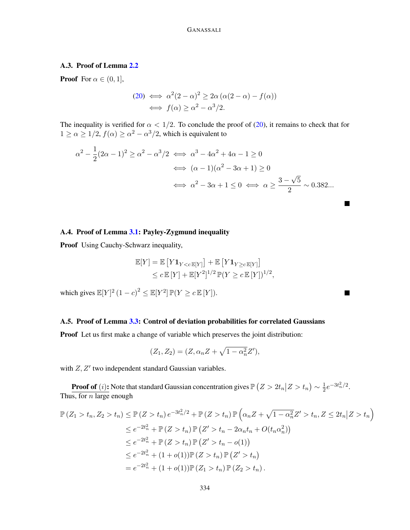# GANASSALI

# <span id="page-20-0"></span>A.3. Proof of Lemma [2.2](#page-11-1)

**Proof** For  $\alpha \in (0, 1]$ ,

$$
(20) \iff \alpha^2 (2 - \alpha)^2 \ge 2\alpha \left( \alpha (2 - \alpha) - f(\alpha) \right)
$$

$$
\iff f(\alpha) \ge \alpha^2 - \alpha^3 / 2.
$$

The inequality is verified for  $\alpha < 1/2$ . To conclude the proof of [\(20\)](#page-11-2), it remains to check that for  $1 \ge \alpha \ge 1/2$ ,  $f(\alpha) \ge \alpha^2 - \alpha^3/2$ , which is equivalent to

$$
\alpha^2 - \frac{1}{2}(2\alpha - 1)^2 \ge \alpha^2 - \alpha^3/2 \iff \alpha^3 - 4\alpha^2 + 4\alpha - 1 \ge 0
$$
  

$$
\iff (\alpha - 1)(\alpha^2 - 3\alpha + 1) \ge 0
$$
  

$$
\iff \alpha^2 - 3\alpha + 1 \le 0 \iff \alpha \ge \frac{3 - \sqrt{5}}{2} \sim 0.382...
$$

П

 $\blacksquare$ 

# <span id="page-20-1"></span>A.4. Proof of Lemma [3.1:](#page-12-3) Payley-Zygmund inequality

Proof Using Cauchy-Schwarz inequality,

$$
\mathbb{E}[Y] = \mathbb{E}\left[Y\mathbf{1}_{Y < c\mathbb{E}[Y]}\right] + \mathbb{E}\left[Y\mathbf{1}_{Y \geq c\mathbb{E}[Y]}\right] \\
\leq c \mathbb{E}\left[Y\right] + \mathbb{E}[Y^2]^{1/2} \mathbb{P}(Y \geq c\mathbb{E}\left[Y\right])^{1/2},
$$

which gives  $\mathbb{E}[Y]^2 (1-c)^2 \leq \mathbb{E}[Y^2] \mathbb{P}(Y \geq c \mathbb{E}[Y]).$ 

## <span id="page-20-2"></span>A.5. Proof of Lemma [3.3:](#page-13-1) Control of deviation probabilities for correlated Gaussians

Proof Let us first make a change of variable which preserves the joint distribution:

$$
(Z_1, Z_2) = (Z, \alpha_n Z + \sqrt{1 - \alpha_n^2} Z'),
$$

with  $Z, Z'$  two independent standard Gaussian variables.

**Proof of** (*i*): Note that standard Gaussian concentration gives  $\mathbb{P}\left(Z > 2t_n | Z > t_n\right) \sim \frac{1}{2}$  $\frac{1}{2}e^{-3t_n^2/2}.$ Thus, for  $n$  large enough

$$
\mathbb{P}(Z_1 > t_n, Z_2 > t_n) \leq \mathbb{P}(Z > t_n) e^{-3t_n^2/2} + \mathbb{P}(Z > t_n) \mathbb{P}(\alpha_n Z + \sqrt{1 - \alpha_n^2} Z' > t_n, Z \leq 2t_n | Z > t_n)
$$
  
\n
$$
\leq e^{-2t_n^2} + \mathbb{P}(Z > t_n) \mathbb{P}(Z' > t_n - 2\alpha_n t_n + O(t_n \alpha_n^2))
$$
  
\n
$$
\leq e^{-2t_n^2} + \mathbb{P}(Z > t_n) \mathbb{P}(Z' > t_n - o(1))
$$
  
\n
$$
\leq e^{-2t_n^2} + (1 + o(1)) \mathbb{P}(Z > t_n) \mathbb{P}(Z' > t_n)
$$
  
\n
$$
= e^{-2t_n^2} + (1 + o(1)) \mathbb{P}(Z_1 > t_n) \mathbb{P}(Z_2 > t_n).
$$